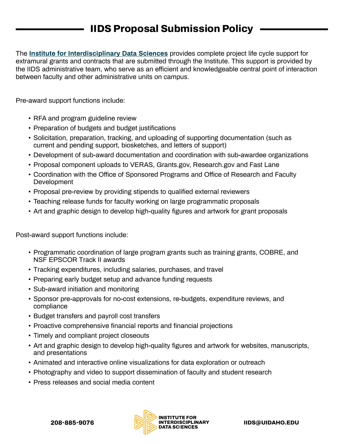## **IIDS Proposal Submission Policy**

The **[Institute for Interdisciplinary Data Sciences](https://www.iids.uidaho.edu/)** provides complete project life cycle support for extramural grants and contracts that are submitted through the Institute. This support is provided by the IIDS administrative team, who serve as an efficient and knowledgeable central point of interaction between faculty and other administrative units on campus.

Pre-award support functions include:

- RFA and program guideline review
- Preparation of budgets and budget justifications
- Solicitation, preparation, tracking, and uploading of supporting documentation (such as current and pending support, biosketches, and letters of support)
- Development of sub-award documentation and coordination with sub-awardee organizations
- Proposal component uploads to VERAS, Grants.gov, Research.gov and Fast Lane
- Coordination with the Office of Sponsored Programs and Office of Research and Faculty **Development**
- Proposal pre-review by providing stipends to qualified external reviewers
- Teaching release funds for faculty working on large programmatic proposals
- Art and graphic design to develop high-quality figures and artwork for grant proposals

Post-award support functions include:

- Programmatic coordination of large program grants such as training grants, COBRE, and NSF EPSCOR Track II awards
- Tracking expenditures, including salaries, purchases, and travel
- Preparing early budget setup and advance funding requests
- Sub-award initiation and monitoring
- Sponsor pre-approvals for no-cost extensions, re-budgets, expenditure reviews, and compliance
- Budget transfers and payroll cost transfers
- Proactive comprehensive financial reports and financial projections
- Timely and compliant project closeouts
- Art and graphic design to develop high-quality figures and artwork for websites, manuscripts, and presentations
- Animated and interactive online visualizations for data exploration or outreach
- Photography and video to support dissemination of faculty and student research
- Press releases and social media content